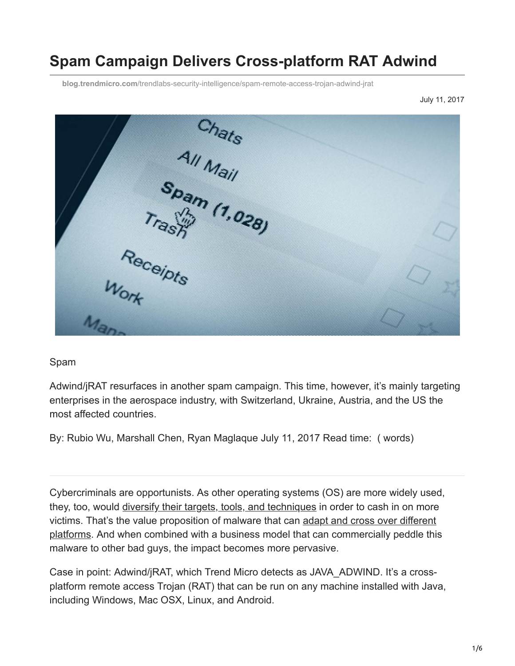# **Spam Campaign Delivers Cross-platform RAT Adwind**

**blog.trendmicro.com**[/trendlabs-security-intelligence/spam-remote-access-trojan-adwind-jrat](http://blog.trendmicro.com/trendlabs-security-intelligence/spam-remote-access-trojan-adwind-jrat)

July 11, 2017

Chats<br>All Mail<br>Spam (1,028) Receipts

#### Spam

Adwind/jRAT resurfaces in another spam campaign. This time, however, it's mainly targeting enterprises in the aerospace industry, with Switzerland, Ukraine, Austria, and the US the most affected countries.

By: Rubio Wu, Marshall Chen, Ryan Maglaque July 11, 2017 Read time: ( words)

Cybercriminals are opportunists. As other operating systems (OS) are more widely used, they, too, would [diversify their targets, tools, and techniques](https://www.trendmicro.com/vinfo/us/security/research-and-analysis/predictions/2017) in order to cash in on more [victims. That's the value proposition of malware that can adapt and cross over different](http://blog.trendmicro.com/trendlabs-security-intelligence/unix-a-game-changer-in-the-ransomware-landscape/) platforms. And when combined with a business model that can commercially peddle this malware to other bad guys, the impact becomes more pervasive.

Case in point: Adwind/jRAT, which Trend Micro detects as JAVA\_ADWIND. It's a crossplatform remote access Trojan (RAT) that can be run on any machine installed with Java, including Windows, Mac OSX, Linux, and Android.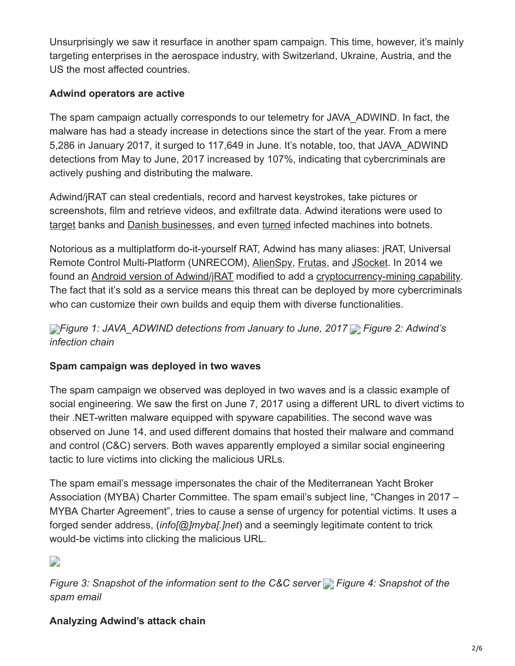Unsurprisingly we saw it resurface in another spam campaign. This time, however, it's mainly targeting enterprises in the aerospace industry, with Switzerland, Ukraine, Austria, and the US the most affected countries.

### **Adwind operators are active**

The spam campaign actually corresponds to our telemetry for JAVA\_ADWIND. In fact, the malware has had a steady increase in detections since the start of the year. From a mere 5,286 in January 2017, it surged to 117,649 in June. It's notable, too, that JAVA\_ADWIND detections from May to June, 2017 increased by 107%, indicating that cybercriminals are actively pushing and distributing the malware.

Adwind/jRAT can steal credentials, record and harvest keystrokes, take pictures or screenshots, film and retrieve videos, and exfiltrate data. Adwind iterations were used to [target](https://www.theregister.co.uk/2016/02/08/adwind/) banks and [Danish businesses,](https://www.scmagazineuk.com/adwind-rat-found-in-spam-emails-targeting-danish-companies/article/529351/) and even [turned](https://www.infosecurity-magazine.com/news/adwind-rat-resurfaceswith-a-zero/) infected machines into botnets.

Notorious as a multiplatform do-it-yourself RAT, Adwind has many aliases: jRAT, Universal Remote Control Multi-Platform (UNRECOM), [AlienSpy,](http://www.zdnet.com/article/alienspy-rat-strikes-over-400000-victims-worldwide/) [Frutas](https://www.helpnetsecurity.com/2013/08/16/cross-platform-frutas-rat-delivered-via-targeted-emails/), and [JSocket](https://arstechnica.com/security/2016/02/java-rat-as-a-service-backdoor-openly-sold-through-website-to-scammers/). In 2014 we found an [Android version of Adwind/jRAT](http://blog.trendmicro.com/trendlabs-security-intelligence/old-java-rat-updates-includes-litecoin-plugin/) modified to add a [cryptocurrency-mining capability.](https://www.trendmicro.com/vinfo/tmr/?/us/security/news/cybercrime-and-digital-threats/security-101-the-impact-of-cryptocurrency-mining-malware) The fact that it's sold as a service means this threat can be deployed by more cybercriminals who can customize their own builds and equip them with diverse functionalities.

*[F](http://blog.trendmicro.com/content/dam/trendmicro/global/en/migrated/security-intelligence-migration-spreadsheet/trendlabs-security-intelligence/2017/07/jrat-adwind-spam-1.jpg)igure 1: JAVA\_ADWIND detections from January to June, 2017 Figure 2: Adwind's infection chain*

### **Spam campaign was deployed in two waves**

The spam campaign we observed was deployed in two waves and is a classic example of social engineering. We saw the first on June 7, 2017 using a different URL to divert victims to their .NET-written malware equipped with spyware capabilities. The second wave was observed on June 14, and used different domains that hosted their malware and command and control (C&C) servers. Both waves apparently employed a similar social engineering tactic to lure victims into clicking the malicious URLs.

The spam email's message impersonates the chair of the Mediterranean Yacht Broker Association (MYBA) Charter Committee. The spam email's subject line, "Changes in 2017 – MYBA Charter Agreement", tries to cause a sense of urgency for potential victims. It uses a forged sender address, (*info[@]myba[.]net*) and a seemingly legitimate content to trick would-be victims into clicking the malicious URL.

D

*Figure 3: Snapshot of the information sent to the C&C server Figure 4: Snapshot of the spam email*

# **Analyzing Adwind's attack chain**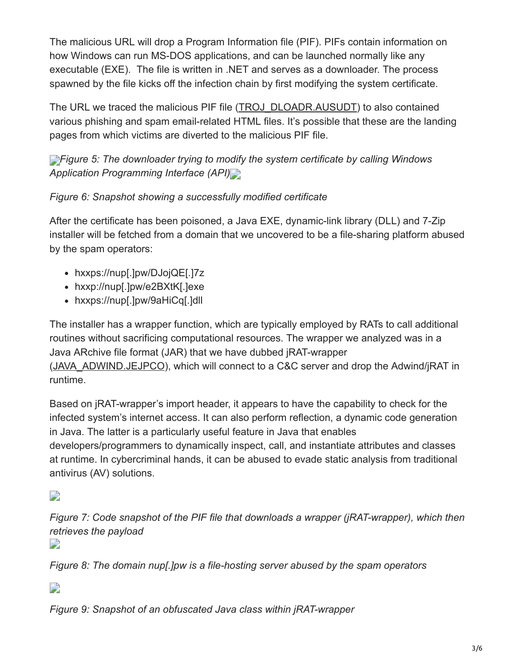The malicious URL will drop a Program Information file (PIF). PIFs contain information on how Windows can run MS-DOS applications, and can be launched normally like any executable (EXE). The file is written in .NET and serves as a downloader. The process spawned by the file kicks off the infection chain by first modifying the system certificate.

The URL we traced the malicious PIF file ([TROJ\\_DLOADR.AUSUDT](https://www.trendmicro.com/vinfo/tmr/?/us/threat-encyclopedia/malware/TROJ_DLOADR.AUSUDT)) to also contained various phishing and spam email-related HTML files. It's possible that these are the landing pages from which victims are diverted to the malicious PIF file.

**[F](http://blog.trendmicro.com/content/dam/trendmicro/global/en/migrated/security-intelligence-migration-spreadsheet/trendlabs-security-intelligence/2017/07/jrat-adwind-spam-5.png)***Figure 5: The downloader trying to modify the system certificate by calling Windows Application Programming Interface (API)*

## *Figure 6: Snapshot showing a successfully modified certificate*

After the certificate has been poisoned, a Java EXE, dynamic-link library (DLL) and 7-Zip installer will be fetched from a domain that we uncovered to be a file-sharing platform abused by the spam operators:

- hxxps://nup[.]pw/DJojQE[.]7z
- hxxp://nup[.]pw/e2BXtK[.]exe
- hxxps://nup[.]pw/9aHiCq[.]dll

The installer has a wrapper function, which are typically employed by RATs to call additional routines without sacrificing computational resources. The wrapper we analyzed was in a Java ARchive file format (JAR) that we have dubbed jRAT-wrapper ([JAVA\\_ADWIND.JEJPCO\)](https://www.trendmicro.com/vinfo/tmr/?/us/threat-encyclopedia/malware/JAVA_ADWIND.JEJPCO), which will connect to a C&C server and drop the Adwind/jRAT in runtime.

Based on jRAT-wrapper's import header, it appears to have the capability to check for the infected system's internet access. It can also perform reflection, a dynamic code generation in Java. The latter is a particularly useful feature in Java that enables developers/programmers to dynamically inspect, call, and instantiate attributes and classes at runtime. In cybercriminal hands, it can be abused to evade static analysis from traditional antivirus (AV) solutions.

D

*Figure 7: Code snapshot of the PIF file that downloads a wrapper (jRAT-wrapper), which then retrieves the payload*

 $\overline{\phantom{a}}$ 

*Figure 8: The domain nup[.]pw is a file-hosting server abused by the spam operators*

D

*Figure 9: Snapshot of an obfuscated Java class within jRAT-wrapper*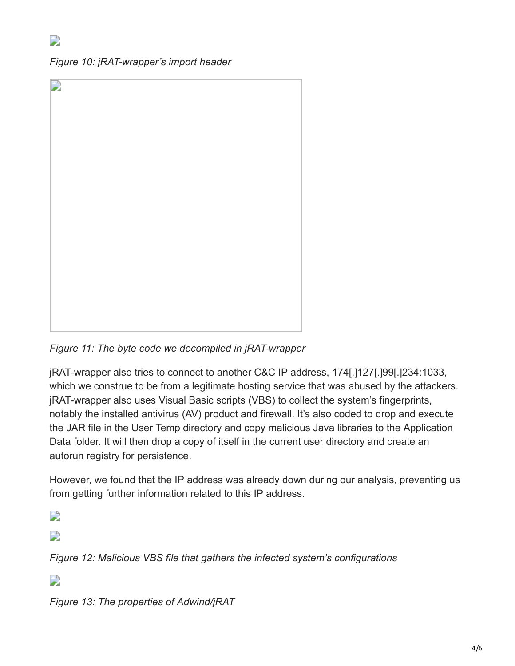*Figure 10: jRAT-wrapper's import header*

| $\overline{\phantom{a}}$ |  |  |
|--------------------------|--|--|
|                          |  |  |
|                          |  |  |
|                          |  |  |
|                          |  |  |
|                          |  |  |
|                          |  |  |
|                          |  |  |
|                          |  |  |
|                          |  |  |
|                          |  |  |
|                          |  |  |
|                          |  |  |
|                          |  |  |
|                          |  |  |
|                          |  |  |
|                          |  |  |
|                          |  |  |
|                          |  |  |
|                          |  |  |
|                          |  |  |
|                          |  |  |
|                          |  |  |
|                          |  |  |
|                          |  |  |
|                          |  |  |
|                          |  |  |
|                          |  |  |
|                          |  |  |
|                          |  |  |
|                          |  |  |
|                          |  |  |
|                          |  |  |
|                          |  |  |
|                          |  |  |
|                          |  |  |
|                          |  |  |
|                          |  |  |
|                          |  |  |
|                          |  |  |
|                          |  |  |
|                          |  |  |
|                          |  |  |
|                          |  |  |
|                          |  |  |
|                          |  |  |
|                          |  |  |
|                          |  |  |

*Figure 11: The byte code we decompiled in jRAT-wrapper*

jRAT-wrapper also tries to connect to another C&C IP address, 174[.]127[.]99[.]234:1033, which we construe to be from a legitimate hosting service that was abused by the attackers. jRAT-wrapper also uses Visual Basic scripts (VBS) to collect the system's fingerprints, notably the installed antivirus (AV) product and firewall. It's also coded to drop and execute the JAR file in the User Temp directory and copy malicious Java libraries to the Application Data folder. It will then drop a copy of itself in the current user directory and create an autorun registry for persistence.

However, we found that the IP address was already down during our analysis, preventing us from getting further information related to this IP address.

 $\overline{\phantom{a}}$ 

 $\Box$ 

*Figure 12: Malicious VBS file that gathers the infected system's configurations*

 $\Box$ 

*Figure 13: The properties of Adwind/jRAT*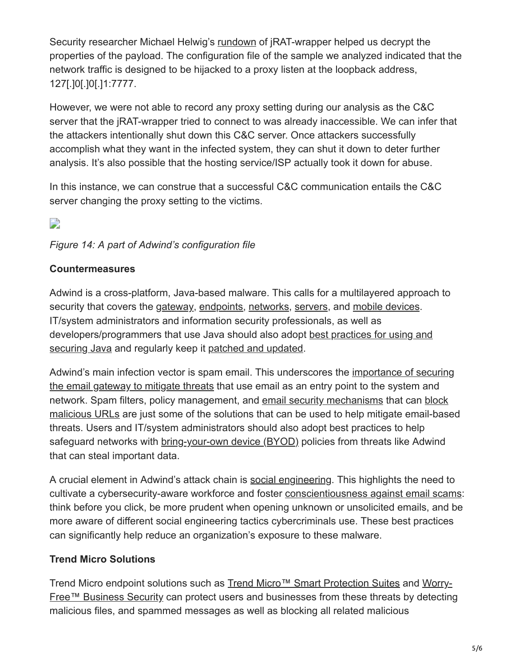Security researcher Michael Helwig's [rundown](https://www.codemetrix.net/decrypting-adwind-jrat-jbifrost-trojan/) of jRAT-wrapper helped us decrypt the properties of the payload. The configuration file of the sample we analyzed indicated that the network traffic is designed to be hijacked to a proxy listen at the loopback address, 127[.]0[.]0[.]1:7777.

However, we were not able to record any proxy setting during our analysis as the C&C server that the jRAT-wrapper tried to connect to was already inaccessible. We can infer that the attackers intentionally shut down this C&C server. Once attackers successfully accomplish what they want in the infected system, they can shut it down to deter further analysis. It's also possible that the hosting service/ISP actually took it down for abuse.

In this instance, we can construe that a successful C&C communication entails the C&C server changing the proxy setting to the victims.

# $\Box$

### *Figure 14: A part of Adwind's configuration file*

### **Countermeasures**

Adwind is a cross-platform, Java-based malware. This calls for a multilayered approach to security that covers the [gateway](http://blog.trendmicro.com/en_us/business/products/user-protection/sps.html), [endpoints](http://blog.trendmicro.com/en_us/business/products/user-protection/sps.html), [networks,](http://blog.trendmicro.com/en_us/business/products/network/advanced-threat-protection.html) [servers,](http://blog.trendmicro.com/en_us/business/products/hybrid-cloud.html) and [mobile devices.](http://blog.trendmicro.com/en_us/business/products/user-protection/sps/mobile.html) IT/system administrators and information security professionals, as well as [developers/programmers that use Java should also adopt best practices for using and](http://blog.trendmicro.com/trendlabs-security-intelligence/how-to-use-java-if-you-must/) securing Java and regularly keep it [patched and updated.](http://blog.trendmicro.com/trendlabs-security-intelligence/oracle-improves-java-security-what-it-means-for-end-users/)

[Adwind's main infection vector is spam email. This underscores the importance of securing](https://www.trendmicro.com/vinfo/us/security/news/cybercrime-and-digital-threats/infosec-guide-email-threats) the email gateway to mitigate threats that use email as an entry point to the system and [network. Spam filters, policy management, and email security mechanisms that can block](http://blog.trendmicro.com/en_us/business/products/user-protection/sps/web-security.html) malicious URLs are just some of the solutions that can be used to help mitigate email-based threats. Users and IT/system administrators should also adopt best practices to help safeguard networks with [bring-your-own device \(BYOD\)](https://www.trendmicro.com/vinfo/us/security/news/cybercrime-and-digital-threats/-infosec-guide-bring-your-own-device-byod) policies from threats like Adwind that can steal important data.

A crucial element in Adwind's attack chain is [social engineering](https://www.trendmicro.com/vinfo/us/security/definition/social-engineering). This highlights the need to cultivate a cybersecurity-aware workforce and foster [conscientiousness against email scams](https://www.trendmicro.com/vinfo/us/security/news/cybercrime-and-digital-threats/keep-an-eye-out-for-these-social-engineering-scams): think before you click, be more prudent when opening unknown or unsolicited emails, and be more aware of different social engineering tactics cybercriminals use. These best practices can significantly help reduce an organization's exposure to these malware.

### **Trend Micro Solutions**

[Trend Micro endpoint solutions such as T](http://blog.trendmicro.com/en_us/small-business/worry-free-services-suites.html)[rend Micro™ Smart Protection Suites](http://blog.trendmicro.com/en_us/business/products/user-protection/sps.html) [and Worry-](http://blog.trendmicro.com/en_us/small-business/worry-free-services-suites.html)Free™ Business Security can protect users and businesses from these threats by detecting malicious files, and spammed messages as well as blocking all related malicious